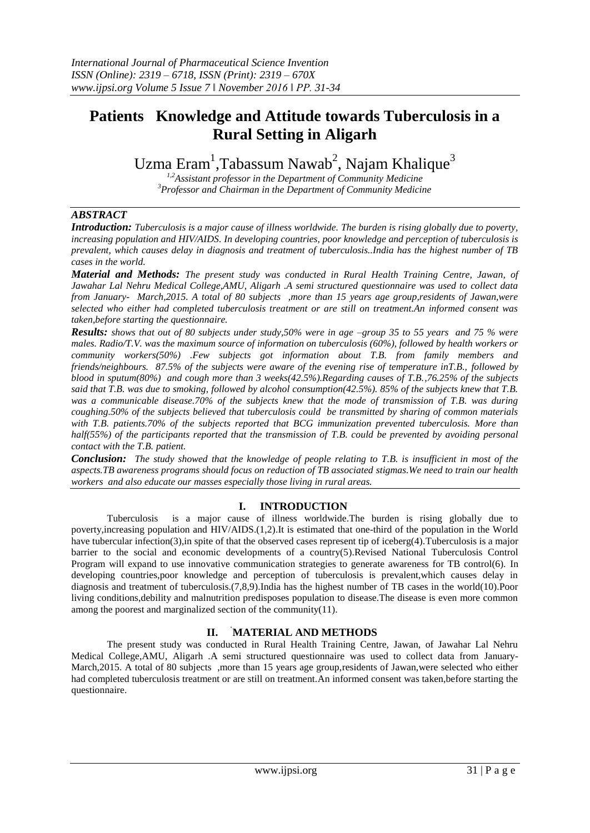# **Patients Knowledge and Attitude towards Tuberculosis in a Rural Setting in Aligarh**

Uzma Eram<sup>1</sup>,Tabassum Nawab<sup>2</sup>, Najam Khalique<sup>3</sup>

*1,2Assistant professor in the Department of Community Medicine <sup>3</sup>Professor and Chairman in the Department of Community Medicine*

## *ABSTRACT*

*Introduction: Tuberculosis is a major cause of illness worldwide. The burden is rising globally due to poverty, increasing population and HIV/AIDS. In developing countries, poor knowledge and perception of tuberculosis is prevalent, which causes delay in diagnosis and treatment of tuberculosis..India has the highest number of TB cases in the world.*

*Material and Methods: The present study was conducted in Rural Health Training Centre, Jawan, of Jawahar Lal Nehru Medical College,AMU, Aligarh .A semi structured questionnaire was used to collect data from January- March,2015. A total of 80 subjects ,more than 15 years age group,residents of Jawan,were selected who either had completed tuberculosis treatment or are still on treatment.An informed consent was taken,before starting the questionnaire.*

*Results: shows that out of 80 subjects under study,50% were in age –group 35 to 55 years and 75 % were males. Radio/T.V. was the maximum source of information on tuberculosis (60%), followed by health workers or community workers(50%) .Few subjects got information about T.B. from family members and friends/neighbours. 87.5% of the subjects were aware of the evening rise of temperature inT.B., followed by blood in sputum(80%) and cough more than 3 weeks(42.5%).Regarding causes of T.B.,76.25% of the subjects said that T.B. was due to smoking, followed by alcohol consumption(42.5%). 85% of the subjects knew that T.B. was a communicable disease.70% of the subjects knew that the mode of transmission of T.B. was during coughing.50% of the subjects believed that tuberculosis could be transmitted by sharing of common materials with T.B. patients.70% of the subjects reported that BCG immunization prevented tuberculosis. More than half(55%) of the participants reported that the transmission of T.B. could be prevented by avoiding personal contact with the T.B. patient.*

*Conclusion: The study showed that the knowledge of people relating to T.B. is insufficient in most of the aspects.TB awareness programs should focus on reduction of TB associated stigmas.We need to train our health workers and also educate our masses especially those living in rural areas.*

# **I. INTRODUCTION**

Tuberculosis is a major cause of illness worldwide.The burden is rising globally due to poverty,increasing population and HIV/AIDS.(1,2).It is estimated that one-third of the population in the World have tubercular infection(3), in spite of that the observed cases represent tip of iceberg(4). Tuberculosis is a major barrier to the social and economic developments of a country(5).Revised National Tuberculosis Control Program will expand to use innovative communication strategies to generate awareness for TB control(6). In developing countries,poor knowledge and perception of tuberculosis is prevalent,which causes delay in diagnosis and treatment of tuberculosis.(7,8,9).India has the highest number of TB cases in the world(10).Poor living conditions,debility and malnutrition predisposes population to disease.The disease is even more common among the poorest and marginalized section of the community(11).

# **II.** "**MATERIAL AND METHODS**

The present study was conducted in Rural Health Training Centre, Jawan, of Jawahar Lal Nehru Medical College,AMU, Aligarh .A semi structured questionnaire was used to collect data from January-March,2015. A total of 80 subjects ,more than 15 years age group,residents of Jawan,were selected who either had completed tuberculosis treatment or are still on treatment.An informed consent was taken,before starting the questionnaire.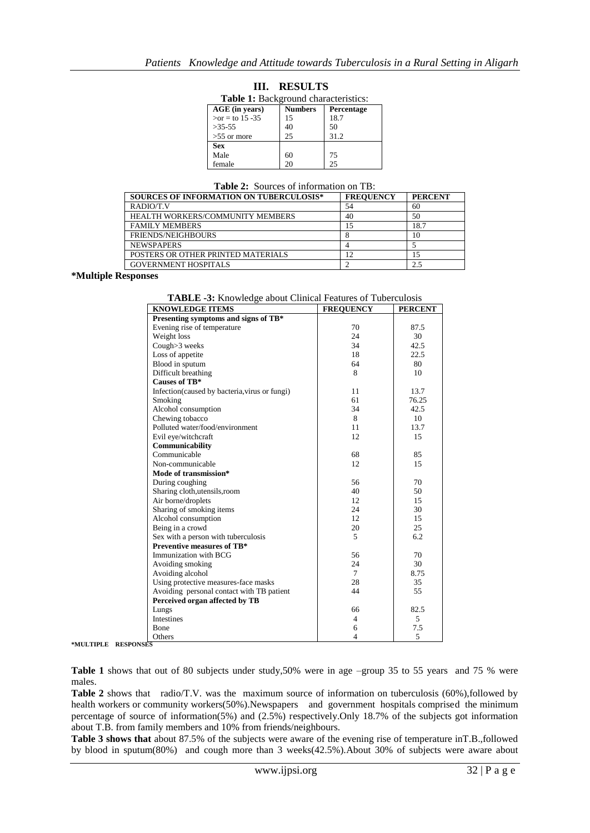| <b>Table 1:</b> Background characteristics: |                |            |  |  |  |
|---------------------------------------------|----------------|------------|--|--|--|
| AGE (in years)                              | <b>Numbers</b> | Percentage |  |  |  |
| $>or = to 15 - 35$                          | 15             | 18.7       |  |  |  |
| $>35-55$                                    | 40             | 50         |  |  |  |
| $>55$ or more                               | 25             | 31.2       |  |  |  |
| <b>Sex</b>                                  |                |            |  |  |  |
| Male                                        | 60             | 75         |  |  |  |
| female                                      | 20             | 25         |  |  |  |

**III. RESULTS**

| <b>Table 2:</b> Sources of information on TB: |  |
|-----------------------------------------------|--|
|-----------------------------------------------|--|

| <b>SOURCES OF INFORMATION ON TUBERCULOSIS*</b> | <b>FREOUENCY</b> | <b>PERCENT</b> |
|------------------------------------------------|------------------|----------------|
| RADIO/T.V                                      | 54               | 60             |
| <b>HEALTH WORKERS/COMMUNITY MEMBERS</b>        | 40               | 50             |
| <b>FAMILY MEMBERS</b>                          |                  | 18.7           |
| FRIENDS/NEIGHBOURS                             |                  | 10             |
| <b>NEWSPAPERS</b>                              |                  |                |
| POSTERS OR OTHER PRINTED MATERIALS             | 12               | 15             |
| <b>GOVERNMENT HOSPITALS</b>                    |                  | 2.5            |

**\*Multiple Responses**

**TABLE -3:** Knowledge about Clinical Features of Tuberculosis

| <b>KNOWLEDGE ITEMS</b>                         | <b>FREQUENCY</b> | <b>PERCENT</b> |
|------------------------------------------------|------------------|----------------|
| Presenting symptoms and signs of TB*           |                  |                |
| Evening rise of temperature                    | 70               | 87.5           |
| Weight loss                                    | 24               | 30             |
| Cough>3 weeks                                  | 34               | 42.5           |
| Loss of appetite                               | 18               | 22.5           |
| Blood in sputum                                | 64               | 80             |
| Difficult breathing                            | 8                | 10             |
| Causes of TB*                                  |                  |                |
| Infection (caused by bacteria, virus or fungi) | 11               | 13.7           |
| Smoking                                        | 61               | 76.25          |
| Alcohol consumption                            | 34               | 42.5           |
| Chewing tobacco                                | 8                | 10             |
| Polluted water/food/environment                | 11               | 13.7           |
| Evil eye/witchcraft                            | 12               | 15             |
| Communicability                                |                  |                |
| Communicable                                   | 68               | 85             |
| Non-communicable                               | 12               | 15             |
| Mode of transmission*                          |                  |                |
| During coughing                                | 56               | 70             |
| Sharing cloth, utensils, room                  | 40               | 50             |
| Air borne/droplets                             | 12               | 15             |
| Sharing of smoking items                       | 24               | 30             |
| Alcohol consumption                            | 12               | 15             |
| Being in a crowd                               | 20               | 25             |
| Sex with a person with tuberculosis            | 5                | 6.2            |
| Preventive measures of TB*                     |                  |                |
| Immunization with BCG                          | 56               | 70             |
| Avoiding smoking                               | 24               | 30             |
| Avoiding alcohol                               | $\tau$           | 8.75           |
| Using protective measures-face masks           | 28               | 35             |
| Avoiding personal contact with TB patient      | 44               | 55             |
| Perceived organ affected by TB                 |                  |                |
| Lungs                                          | 66               | 82.5           |
| <b>Intestines</b>                              | $\overline{4}$   | 5              |
| <b>B</b> one                                   | 6                | 7.5            |
| Others                                         | $\overline{4}$   | 5              |

**\*MULTIPLE RESPONSES**

Table 1 shows that out of 80 subjects under study,50% were in age –group 35 to 55 years and 75 % were males.

**Table 2** shows that radio/T.V. was the maximum source of information on tuberculosis (60%),followed by health workers or community workers(50%).Newspapers and government hospitals comprised the minimum percentage of source of information(5%) and (2.5%) respectively.Only 18.7% of the subjects got information about T.B. from family members and 10% from friends/neighbours.

**Table 3 shows that** about 87.5% of the subjects were aware of the evening rise of temperature inT.B.,followed by blood in sputum(80%) and cough more than 3 weeks(42.5%).About 30% of subjects were aware about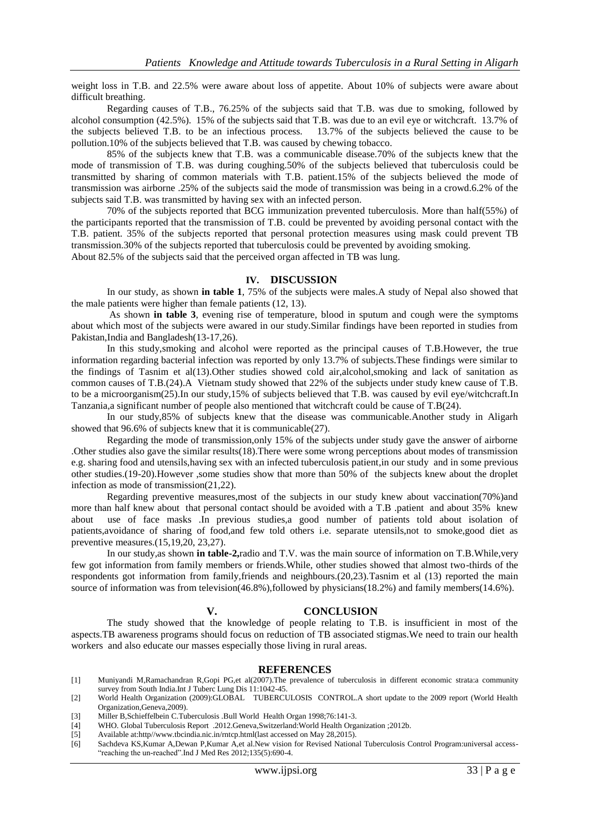weight loss in T.B. and 22.5% were aware about loss of appetite. About 10% of subjects were aware about difficult breathing.

Regarding causes of T.B., 76.25% of the subjects said that T.B. was due to smoking, followed by alcohol consumption (42.5%). 15% of the subjects said that T.B. was due to an evil eye or witchcraft. 13.7% of the subjects believed T.B. to be an infectious process. 13.7% of the subjects believed the cause to be pollution.10% of the subjects believed that T.B. was caused by chewing tobacco.

85% of the subjects knew that T.B. was a communicable disease.70% of the subjects knew that the mode of transmission of T.B. was during coughing.50% of the subjects believed that tuberculosis could be transmitted by sharing of common materials with T.B. patient.15% of the subjects believed the mode of transmission was airborne .25% of the subjects said the mode of transmission was being in a crowd.6.2% of the subjects said T.B. was transmitted by having sex with an infected person.

70% of the subjects reported that BCG immunization prevented tuberculosis. More than half(55%) of the participants reported that the transmission of T.B. could be prevented by avoiding personal contact with the T.B. patient. 35% of the subjects reported that personal protection measures using mask could prevent TB transmission.30% of the subjects reported that tuberculosis could be prevented by avoiding smoking. About 82.5% of the subjects said that the perceived organ affected in TB was lung.

### **IV. DISCUSSION**

In our study, as shown **in table 1**, 75% of the subjects were males.A study of Nepal also showed that the male patients were higher than female patients (12, 13).

As shown **in table 3**, evening rise of temperature, blood in sputum and cough were the symptoms about which most of the subjects were awared in our study.Similar findings have been reported in studies from Pakistan,India and Bangladesh(13-17,26).

In this study,smoking and alcohol were reported as the principal causes of T.B.However, the true information regarding bacterial infection was reported by only 13.7% of subjects.These findings were similar to the findings of Tasnim et al(13).Other studies showed cold air,alcohol,smoking and lack of sanitation as common causes of T.B.(24).A Vietnam study showed that 22% of the subjects under study knew cause of T.B. to be a microorganism(25).In our study,15% of subjects believed that T.B. was caused by evil eye/witchcraft.In Tanzania,a significant number of people also mentioned that witchcraft could be cause of T.B(24).

In our study,85% of subjects knew that the disease was communicable.Another study in Aligarh showed that 96.6% of subjects knew that it is communicable(27).

Regarding the mode of transmission,only 15% of the subjects under study gave the answer of airborne .Other studies also gave the similar results(18).There were some wrong perceptions about modes of transmission e.g. sharing food and utensils,having sex with an infected tuberculosis patient,in our study and in some previous other studies.(19-20).However ,some studies show that more than 50% of the subjects knew about the droplet infection as mode of transmission(21,22).

Regarding preventive measures,most of the subjects in our study knew about vaccination(70%)and more than half knew about that personal contact should be avoided with a T.B .patient and about 35% knew about use of face masks .In previous studies,a good number of patients told about isolation of patients,avoidance of sharing of food,and few told others i.e. separate utensils,not to smoke,good diet as preventive measures.(15,19,20, 23,27).

In our study,as shown **in table-2,**radio and T.V. was the main source of information on T.B.While,very few got information from family members or friends.While, other studies showed that almost two-thirds of the respondents got information from family,friends and neighbours.(20,23).Tasnim et al (13) reported the main source of information was from television(46.8%),followed by physicians(18.2%) and family members(14.6%).

#### **V. CONCLUSION**

The study showed that the knowledge of people relating to T.B. is insufficient in most of the aspects.TB awareness programs should focus on reduction of TB associated stigmas.We need to train our health workers and also educate our masses especially those living in rural areas.

#### **REFERENCES**

- [1] Muniyandi M,Ramachandran R,Gopi PG,et al(2007).The prevalence of tuberculosis in different economic strata:a community survey from South India.Int J Tuberc Lung Dis 11:1042-45.
- [2] World Health Organization (2009):GLOBAL TUBERCULOSIS CONTROL.A short update to the 2009 report (World Health Organization,Geneva,2009).
- [3] Miller B,Schieffelbein C.Tuberculosis .Bull World Health Organ 1998;76:141-3.
- [4] WHO. Global Tuberculosis Report .2012.Geneva,Switzerland:World Health Organization ;2012b.
- [5] Available at:http//www.tbcindia.nic.in/rntcp.html(last accessed on May 28,2015).
- Sachdeva KS, Kumar A, Dewan P, Kumar A, et al. New vision for Revised National Tuberculosis Control Program:universal access-"reaching the un-reached".Ind J Med Res 2012;135(5):690-4.